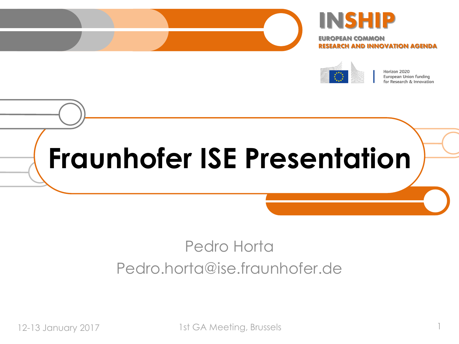



EUROPEAN COMMON RESEARCH AND INNOVATION AGENDA



Horizon 2020 European Union funding for Research & Innovation

# **Fraunhofer ISE Presentation**

### Pedro Horta Pedro.horta@ise.fraunhofer.de

12-13 January 2017 1st GA Meeting, Brussels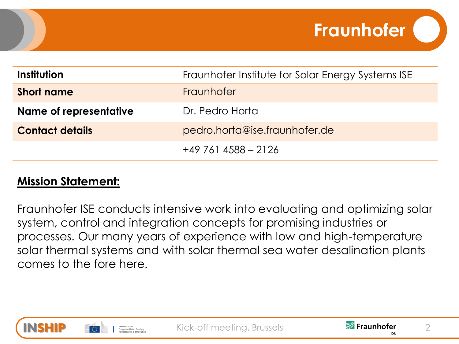| Institution                   | Fraunhofer Institute for Solar Energy Systems ISE |
|-------------------------------|---------------------------------------------------|
| <b>Short name</b>             | Fraunhofer                                        |
| <b>Name of representative</b> | Dr. Pedro Horta                                   |
| <b>Contact details</b>        | pedro.horta@ise.fraunhofer.de                     |
|                               | $+497614588 - 2126$                               |

#### **Mission Statement:**

Fraunhofer ISE conducts intensive work into evaluating and optimizing solar system, control and integration concepts for promising industries or processes. Our many years of experience with low and high-temperature solar thermal systems and with solar thermal sea water desalination plants comes to the fore here.





**Fraunhofer**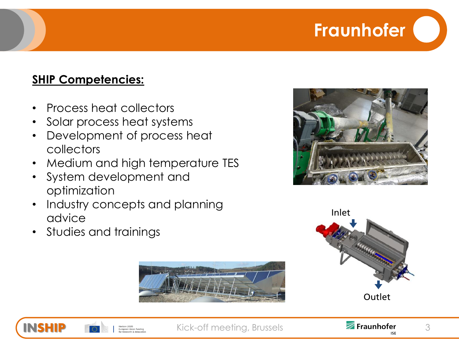## **Fraunhofer**

#### **SHIP Competencies:**

- Process heat collectors
- Solar process heat systems
- Development of process heat collectors
- Medium and high temperature TES
- System development and optimization
- Industry concepts and planning advice
- Studies and trainings











Kick-off meeting, Brussels **3 Fraunhofer** 3

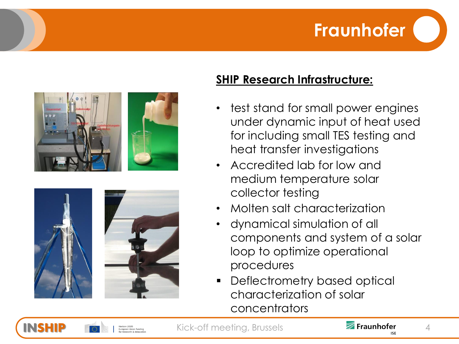## **Fraunhofer**





#### **SHIP Research Infrastructure:**

- test stand for small power engines under dynamic input of heat used for including small TES testing and heat transfer investigations
- Accredited lab for low and medium temperature solar collector testing
- Molten salt characterization
- dynamical simulation of all components and system of a solar loop to optimize operational procedures
- Deflectrometry based optical characterization of solar concentrators



Kick-off meeting, Brussels **2008 Fraunhofer** 4